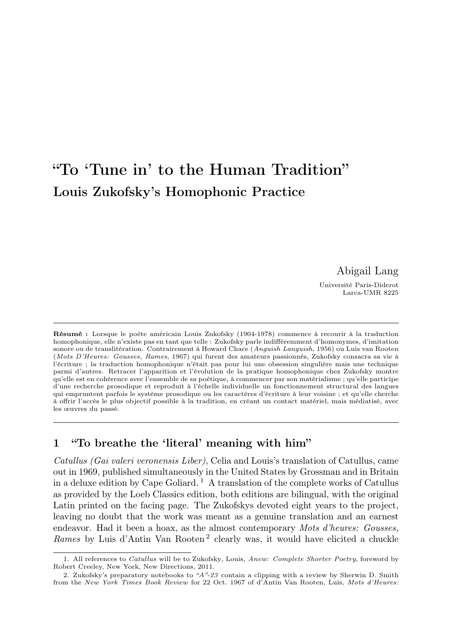# "To 'Tune in' to the Human Tradition" Louis Zukofsky's Homophonic Practice

Abigail Lang

Université Paris-Diderot Larca-UMR 8225

Résumé : Lorsque le poète américain Louis Zukofsky (1904-1978) commence à recourir à la traduction homophonique, elle n'existe pas en tant que telle : Zukofsky parle indifféremment d'homonymes, d'imitation sonore ou de translitération. Contrairement à Howard Chace (Anguish Languish, 1956) ou Luis van Rooten (Mots D'Heures: Gousses, Rames, 1967) qui furent des amateurs passionnés, Zukofsky consacra sa vie à l'écriture ; la traduction homophonique n'était pas pour lui une obsession singulière mais une technique parmi d'autres. Retracer l'apparition et l'évolution de la pratique homophonique chez Zukofsky montre qu'elle est en cohérence avec l'ensemble de sa poétique, à commencer par son matérialisme ; qu'elle participe d'une recherche prosodique et reproduit à l'échelle individuelle un fonctionnement structural des langues qui empruntent parfois le système prosodique ou les caractères d'écriture à leur voisine ; et qu'elle cherche à offrir l'accès le plus objectif possible à la tradition, en créant un contact matériel, mais médiatisé, avec les œuvres du passé.

### 1 "To breathe the 'literal' meaning with him"

Catullus (Gai valeri veronensis Liber), Celia and Louis's translation of Catullus, came out in 1969, published simultaneously in the United States by Grossman and in Britain in a deluxe edition by Cape Goliard.<sup>1</sup> A translation of the complete works of Catullus as provided by the Loeb Classics edition, both editions are bilingual, with the original Latin printed on the facing page. The Zukofskys devoted eight years to the project, leaving no doubt that the work was meant as a genuine translation and an earnest endeavor. Had it been a hoax, as the almost contemporary Mots d'heures: Gousses, Rames by Luis d'Antin Van Rooten<sup>2</sup> clearly was, it would have elicited a chuckle

<sup>1.</sup> All references to *Catullus* will be to Zukofsky, Louis, Anew: Complete Shorter Poetry, foreword by Robert Creeley, New York, New Directions, 2011.

<sup>2.</sup> Zukofsky's preparatory notebooks to "A"-23 contain a clipping with a review by Sherwin D. Smith from the New York Times Book Review for 22 Oct. 1967 of d'Antin Van Rooten, Luis, Mots d'Heures: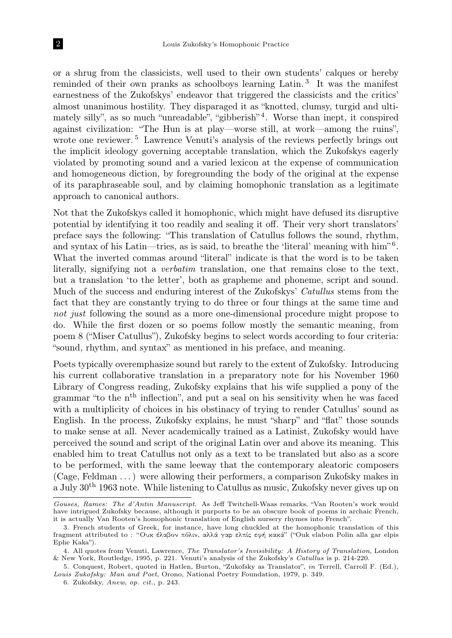or a shrug from the classicists, well used to their own students' calques or hereby reminded of their own pranks as schoolboys learning Latin.<sup>3</sup> It was the manifest earnestness of the Zukofskys' endeavor that triggered the classicists and the critics' almost unanimous hostility. They disparaged it as "knotted, clumsy, turgid and ultimately silly", as so much "unreadable", "gibberish"<sup>4</sup>. Worse than inept, it conspired against civilization: "The Hun is at play—worse still, at work—among the ruins", wrote one reviewer.<sup>5</sup> Lawrence Venuti's analysis of the reviews perfectly brings out the implicit ideology governing acceptable translation, which the Zukofskys eagerly violated by promoting sound and a varied lexicon at the expense of communication and homogeneous diction, by foregrounding the body of the original at the expense of its paraphraseable soul, and by claiming homophonic translation as a legitimate approach to canonical authors.

Not that the Zukofskys called it homophonic, which might have defused its disruptive potential by identifying it too readily and sealing it off. Their very short translators' preface says the following: "This translation of Catullus follows the sound, rhythm, and syntax of his Latin—tries, as is said, to breathe the 'literal' meaning with him"<sup>6</sup>. What the inverted commas around "literal" indicate is that the word is to be taken literally, signifying not a verbatim translation, one that remains close to the text, but a translation 'to the letter', both as grapheme and phoneme, script and sound. Much of the success and enduring interest of the Zukofskys' Catullus stems from the fact that they are constantly trying to do three or four things at the same time and not just following the sound as a more one-dimensional procedure might propose to do. While the first dozen or so poems follow mostly the semantic meaning, from poem 8 ("Miser Catullus"), Zukofsky begins to select words according to four criteria: "sound, rhythm, and syntax" as mentioned in his preface, and meaning.

Poets typically overemphasize sound but rarely to the extent of Zukofsky. Introducing his current collaborative translation in a preparatory note for his November 1960 Library of Congress reading, Zukofsky explains that his wife supplied a pony of the grammar "to the n<sup>th</sup> inflection", and put a seal on his sensitivity when he was faced with a multiplicity of choices in his obstinacy of trying to render Catullus' sound as English. In the process, Zukofsky explains, he must "sharp" and "flat" those sounds to make sense at all. Never academically trained as a Latinist, Zukofsky would have perceived the sound and script of the original Latin over and above its meaning. This enabled him to treat Catullus not only as a text to be translated but also as a score to be performed, with the same leeway that the contemporary aleatoric composers (Cage, Feldman . . . ) were allowing their performers, a comparison Zukofsky makes in a July 30th 1963 note. While listening to Catullus as music, Zukofsky never gives up on

Gouses, Rames: The d'Antin Manuscript. As Jeff Twitchell-Waas remarks, "Van Rooten's work would have intrigued Zukofsky because, although it purports to be an obscure book of poems in archaic French, it is actually Van Rooten's homophonic translation of English nursery rhymes into French".

<sup>3.</sup> French students of Greek, for instance, have long chuckled at the homophonic translation of this fragment attributed to : "Ουκ έλαβον πόλιν, αλλά γαρ ελπίς εφή κακά" ("Ouk elabon Polin alla gar elpis Ephe Kaka").

<sup>4.</sup> All quotes from Venuti, Lawrence, The Translator's Invisibility: A History of Translation, London & New York, Routledge, 1995, p. 221. Venuti's analysis of the Zukofsky's Catullus is p. 214-220.

<sup>5.</sup> Conquest, Robert, quoted in Hatlen, Burton, "Zukofsky as Translator", in Terrell, Carroll F. (Ed.), Louis Zukofsky: Man and Poet, Orono, National Poetry Foundation, 1979, p. 349.

<sup>6.</sup> Zukofsky, Anew, op. cit., p. 243.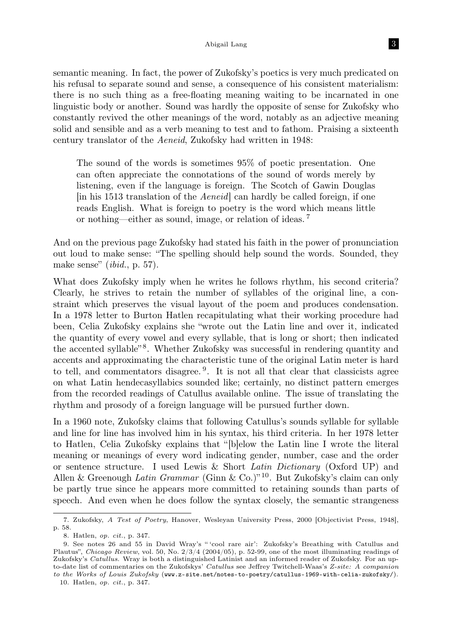#### Abigail Lang 3

semantic meaning. In fact, the power of Zukofsky's poetics is very much predicated on his refusal to separate sound and sense, a consequence of his consistent materialism: there is no such thing as a free-floating meaning waiting to be incarnated in one linguistic body or another. Sound was hardly the opposite of sense for Zukofsky who constantly revived the other meanings of the word, notably as an adjective meaning solid and sensible and as a verb meaning to test and to fathom. Praising a sixteenth century translator of the Aeneid, Zukofsky had written in 1948:

The sound of the words is sometimes 95% of poetic presentation. One can often appreciate the connotations of the sound of words merely by listening, even if the language is foreign. The Scotch of Gawin Douglas [in his 1513 translation of the Aeneid] can hardly be called foreign, if one reads English. What is foreign to poetry is the word which means little or nothing—either as sound, image, or relation of ideas. <sup>7</sup>

And on the previous page Zukofsky had stated his faith in the power of pronunciation out loud to make sense: "The spelling should help sound the words. Sounded, they make sense" (ibid., p. 57).

What does Zukofsky imply when he writes he follows rhythm, his second criteria? Clearly, he strives to retain the number of syllables of the original line, a constraint which preserves the visual layout of the poem and produces condensation. In a 1978 letter to Burton Hatlen recapitulating what their working procedure had been, Celia Zukofsky explains she "wrote out the Latin line and over it, indicated the quantity of every vowel and every syllable, that is long or short; then indicated the accented syllable"<sup>8</sup>. Whether Zukofsky was successful in rendering quantity and accents and approximating the characteristic tune of the original Latin meter is hard to tell, and commentators disagree.<sup>9</sup>. It is not all that clear that classicists agree on what Latin hendecasyllabics sounded like; certainly, no distinct pattern emerges from the recorded readings of Catullus available online. The issue of translating the rhythm and prosody of a foreign language will be pursued further down.

In a 1960 note, Zukofsky claims that following Catullus's sounds syllable for syllable and line for line has involved him in his syntax, his third criteria. In her 1978 letter to Hatlen, Celia Zukofsky explains that "[b]elow the Latin line I wrote the literal meaning or meanings of every word indicating gender, number, case and the order or sentence structure. I used Lewis & Short Latin Dictionary (Oxford UP) and Allen & Greenough Latin Grammar (Ginn & Co.)<sup>"10</sup>. But Zukofsky's claim can only be partly true since he appears more committed to retaining sounds than parts of speech. And even when he does follow the syntax closely, the semantic strangeness

<sup>7.</sup> Zukofsky, A Test of Poetry, Hanover, Wesleyan University Press, 2000 [Objectivist Press, 1948], p. 58.

<sup>8.</sup> Hatlen, op. cit., p. 347.

<sup>9.</sup> See notes 26 and 55 in David Wray's " 'cool rare air': Zukofsky's Breathing with Catullus and Plautus", Chicago Review, vol. 50, No.  $2/3/4$  (2004/05), p. 52-99, one of the most illuminating readings of Zukofsky's Catullus. Wray is both a distinguished Latinist and an informed reader of Zukofsky. For an upto-date list of commentaries on the Zukofskys' Catullus see Jeffrey Twitchell-Waas's Z-site: A companion to the Works of Louis Zukofsky (www.z-site.net/notes-to-poetry/catullus-1969-with-celia-zukofsky/).

<sup>10.</sup> Hatlen, op. cit., p. 347.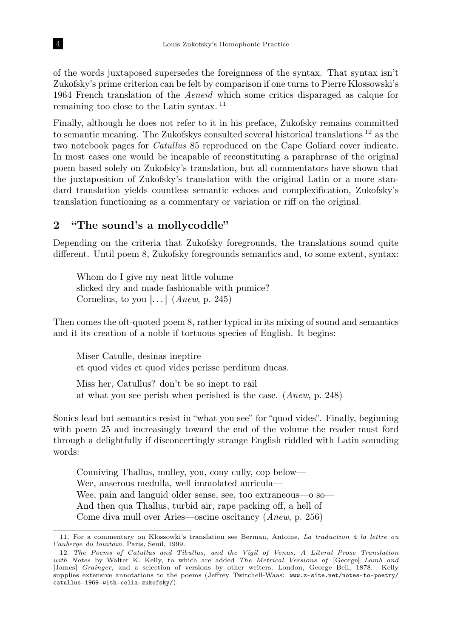of the words juxtaposed supersedes the foreignness of the syntax. That syntax isn't Zukofsky's prime criterion can be felt by comparison if one turns to Pierre Klossowski's 1964 French translation of the Aeneid which some critics disparaged as calque for remaining too close to the Latin syntax. <sup>11</sup>

Finally, although he does not refer to it in his preface, Zukofsky remains committed to semantic meaning. The Zukofskys consulted several historical translations <sup>12</sup> as the two notebook pages for Catullus 85 reproduced on the Cape Goliard cover indicate. In most cases one would be incapable of reconstituting a paraphrase of the original poem based solely on Zukofsky's translation, but all commentators have shown that the juxtaposition of Zukofsky's translation with the original Latin or a more standard translation yields countless semantic echoes and complexification, Zukofsky's translation functioning as a commentary or variation or riff on the original.

## 2 "The sound's a mollycoddle"

Depending on the criteria that Zukofsky foregrounds, the translations sound quite different. Until poem 8, Zukofsky foregrounds semantics and, to some extent, syntax:

Whom do I give my neat little volume slicked dry and made fashionable with pumice? Cornelius, to you  $[...]$   $(Anew, p. 245)$ 

Then comes the oft-quoted poem 8, rather typical in its mixing of sound and semantics and it its creation of a noble if tortuous species of English. It begins:

Miser Catulle, desinas ineptire et quod vides et quod vides perisse perditum ducas.

Miss her, Catullus? don't be so inept to rail at what you see perish when perished is the case. (Anew, p. 248)

Sonics lead but semantics resist in "what you see" for "quod vides". Finally, beginning with poem 25 and increasingly toward the end of the volume the reader must ford through a delightfully if disconcertingly strange English riddled with Latin sounding words:

Conniving Thallus, mulley, you, cony cully, cop below— Wee, anserous medulla, well immolated auricula— Wee, pain and languid older sense, see, too extraneous—o so— And then qua Thallus, turbid air, rape packing off, a hell of Come diva mull over Aries—oscine oscitancy (Anew, p. 256)

<sup>11.</sup> For a commentary on Klossowki's translation see Berman, Antoine, La traduction à la lettre ou l'auberge du lointain, Paris, Seuil, 1999.

<sup>12.</sup> The Poems of Catullus and Tibullus, and the Vigil of Venus, A Literal Prose Translation with Notes by Walter K. Kelly, to which are added The Metrical Versions of [George] Lamb and [James] Grainger, and a selection of versions by other writers, London, George Bell, 1878. Kelly supplies extensive annotations to the poems (Jeffrey Twitchell-Waas: www.z-site.net/notes-to-poetry/ catullus-1969-with-celia-zukofsky/).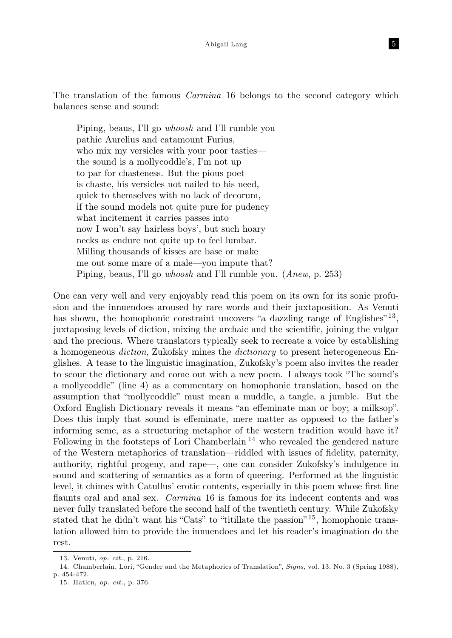The translation of the famous *Carmina* 16 belongs to the second category which balances sense and sound:

Piping, beaus, I'll go whoosh and I'll rumble you pathic Aurelius and catamount Furius, who mix my versicles with your poor tasties the sound is a mollycoddle's, I'm not up to par for chasteness. But the pious poet is chaste, his versicles not nailed to his need, quick to themselves with no lack of decorum, if the sound models not quite pure for pudency what incitement it carries passes into now I won't say hairless boys', but such hoary necks as endure not quite up to feel lumbar. Milling thousands of kisses are base or make me out some mare of a male—you impute that? Piping, beaus, I'll go whoosh and I'll rumble you. (Anew, p. 253)

One can very well and very enjoyably read this poem on its own for its sonic profusion and the innuendoes aroused by rare words and their juxtaposition. As Venuti has shown, the homophonic constraint uncovers "a dazzling range of Englishes"<sup>13</sup>, juxtaposing levels of diction, mixing the archaic and the scientific, joining the vulgar and the precious. Where translators typically seek to recreate a voice by establishing a homogeneous diction, Zukofsky mines the dictionary to present heterogeneous Englishes. A tease to the linguistic imagination, Zukofsky's poem also invites the reader to scour the dictionary and come out with a new poem. I always took "The sound's a mollycoddle" (line 4) as a commentary on homophonic translation, based on the assumption that "mollycoddle" must mean a muddle, a tangle, a jumble. But the Oxford English Dictionary reveals it means "an effeminate man or boy; a milksop". Does this imply that sound is effeminate, mere matter as opposed to the father's informing seme, as a structuring metaphor of the western tradition would have it? Following in the footsteps of Lori Chamberlain<sup>14</sup> who revealed the gendered nature of the Western metaphorics of translation—riddled with issues of fidelity, paternity, authority, rightful progeny, and rape—, one can consider Zukofsky's indulgence in sound and scattering of semantics as a form of queering. Performed at the linguistic level, it chimes with Catullus' erotic contents, especially in this poem whose first line flaunts oral and anal sex. *Carmina* 16 is famous for its indecent contents and was never fully translated before the second half of the twentieth century. While Zukofsky stated that he didn't want his "Cats" to "titillate the passion"<sup>15</sup>, homophonic translation allowed him to provide the innuendoes and let his reader's imagination do the rest.

<sup>13.</sup> Venuti, op. cit., p. 216.

<sup>14.</sup> Chamberlain, Lori, "Gender and the Metaphorics of Translation", Signs, vol. 13, No. 3 (Spring 1988), p. 454-472.

<sup>15.</sup> Hatlen, op. cit., p. 376.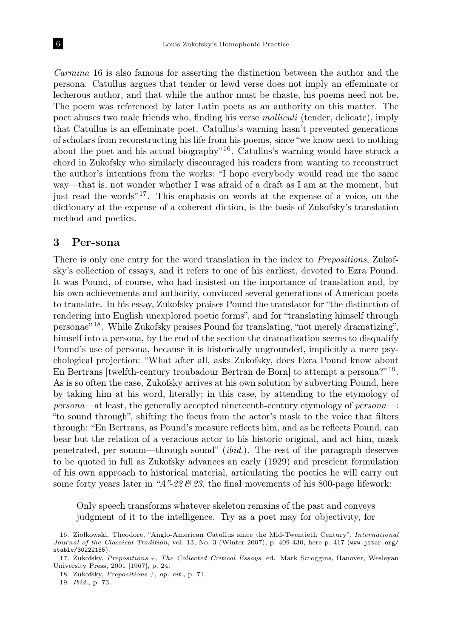Carmina 16 is also famous for asserting the distinction between the author and the persona. Catullus argues that tender or lewd verse does not imply an effeminate or lecherous author, and that while the author must be chaste, his poems need not be. The poem was referenced by later Latin poets as an authority on this matter. The poet abuses two male friends who, finding his verse molliculi (tender, delicate), imply that Catullus is an effeminate poet. Catullus's warning hasn't prevented generations of scholars from reconstructing his life from his poems, since "we know next to nothing about the poet and his actual biography<sup>" 16</sup>. Catullus's warning would have struck a chord in Zukofsky who similarly discouraged his readers from wanting to reconstruct the author's intentions from the works: "I hope everybody would read me the same way—that is, not wonder whether I was afraid of a draft as I am at the moment, but just read the words"  $17$ . This emphasis on words at the expense of a voice, on the dictionary at the expense of a coherent diction, is the basis of Zukofsky's translation method and poetics.

### 3 Per-sona

There is only one entry for the word translation in the index to Prepositions, Zukofsky's collection of essays, and it refers to one of his earliest, devoted to Ezra Pound. It was Pound, of course, who had insisted on the importance of translation and, by his own achievements and authority, convinced several generations of American poets to translate. In his essay, Zukofsky praises Pound the translator for "the distinction of rendering into English unexplored poetic forms", and for "translating himself through personae" <sup>18</sup>. While Zukofsky praises Pound for translating, "not merely dramatizing", himself into a persona, by the end of the section the dramatization seems to disqualify Pound's use of persona, because it is historically ungrounded, implicitly a mere psychological projection: "What after all, asks Zukofsky, does Ezra Pound know about En Bertrans [twelfth-century troubadour Bertran de Born] to attempt a persona?" <sup>19</sup> . As is so often the case, Zukofsky arrives at his own solution by subverting Pound, here by taking him at his word, literally; in this case, by attending to the etymology of persona—at least, the generally accepted nineteenth-century etymology of persona—: "to sound through", shifting the focus from the actor's mask to the voice that filters through: "En Bertrans, as Pound's measure reflects him, and as he reflects Pound, can bear but the relation of a veracious actor to his historic original, and act him, mask penetrated, per sonum—through sound" (ibid.). The rest of the paragraph deserves to be quoted in full as Zukofsky advances an early (1929) and prescient formulation of his own approach to historical material, articulating the poetics he will carry out some forty years later in "A"-22  $\mathcal{B}$  23, the final movements of his 800-page lifework:

Only speech transforms whatever skeleton remains of the past and conveys judgment of it to the intelligence. Try as a poet may for objectivity, for

<sup>16.</sup> Ziolkowski, Theodore, "Anglo-American Catullus since the Mid-Twentieth Century", International Journal of the Classical Tradition, vol. 13, No. 3 (Winter 2007), p. 409-430, here p. 417 (www.jstor.org/ stable/30222155).

<sup>17.</sup> Zukofsky, Prepositions  $+$ , The Collected Critical Essays, ed. Mark Scroggins, Hanover, Wesleyan University Press, 2001 [1967], p. 24.

<sup>18.</sup> Zukofsky, Prepositions  $+$ , op. cit., p. 71.

<sup>19.</sup> Ibid., p. 73.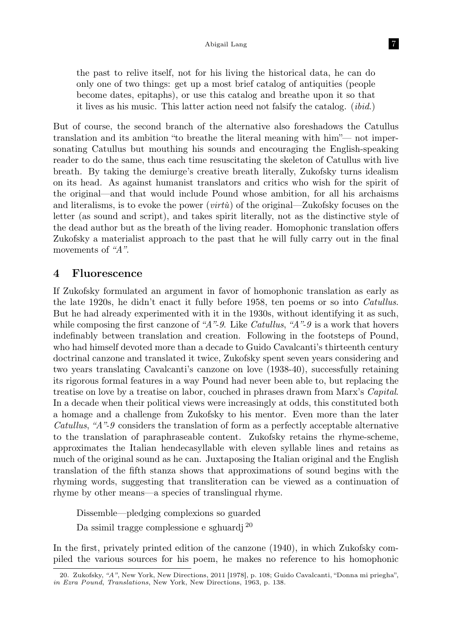the past to relive itself, not for his living the historical data, he can do only one of two things: get up a most brief catalog of antiquities (people become dates, epitaphs), or use this catalog and breathe upon it so that it lives as his music. This latter action need not falsify the catalog. (ibid.)

But of course, the second branch of the alternative also foreshadows the Catullus translation and its ambition "to breathe the literal meaning with him"— not impersonating Catullus but mouthing his sounds and encouraging the English-speaking reader to do the same, thus each time resuscitating the skeleton of Catullus with live breath. By taking the demiurge's creative breath literally, Zukofsky turns idealism on its head. As against humanist translators and critics who wish for the spirit of the original—and that would include Pound whose ambition, for all his archaisms and literalisms, is to evoke the power (*virtù*) of the original—Zukofsky focuses on the letter (as sound and script), and takes spirit literally, not as the distinctive style of the dead author but as the breath of the living reader. Homophonic translation offers Zukofsky a materialist approach to the past that he will fully carry out in the final movements of "A".

### 4 Fluorescence

If Zukofsky formulated an argument in favor of homophonic translation as early as the late 1920s, he didn't enact it fully before 1958, ten poems or so into Catullus. But he had already experimented with it in the 1930s, without identifying it as such, while composing the first canzone of "A"-9. Like Catullus, "A"-9 is a work that hovers indefinably between translation and creation. Following in the footsteps of Pound, who had himself devoted more than a decade to Guido Cavalcanti's thirteenth century doctrinal canzone and translated it twice, Zukofsky spent seven years considering and two years translating Cavalcanti's canzone on love (1938-40), successfully retaining its rigorous formal features in a way Pound had never been able to, but replacing the treatise on love by a treatise on labor, couched in phrases drawn from Marx's Capital. In a decade when their political views were increasingly at odds, this constituted both a homage and a challenge from Zukofsky to his mentor. Even more than the later Catullus, "A"-9 considers the translation of form as a perfectly acceptable alternative to the translation of paraphraseable content. Zukofsky retains the rhyme-scheme, approximates the Italian hendecasyllable with eleven syllable lines and retains as much of the original sound as he can. Juxtaposing the Italian original and the English translation of the fifth stanza shows that approximations of sound begins with the rhyming words, suggesting that transliteration can be viewed as a continuation of rhyme by other means—a species of translingual rhyme.

Dissemble—pledging complexions so guarded

Da ssimil tragge complessione e sghuardj <sup>20</sup>

In the first, privately printed edition of the canzone (1940), in which Zukofsky compiled the various sources for his poem, he makes no reference to his homophonic

<sup>20.</sup> Zukofsky, "A", New York, New Directions, 2011 [1978], p. 108; Guido Cavalcanti, "Donna mi priegha", in Ezra Pound, Translations, New York, New Directions, 1963, p. 138.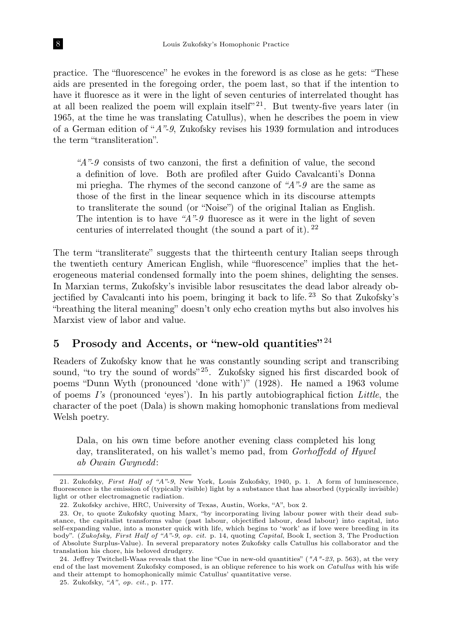practice. The "fluorescence" he evokes in the foreword is as close as he gets: "These aids are presented in the foregoing order, the poem last, so that if the intention to have it fluoresce as it were in the light of seven centuries of interrelated thought has at all been realized the poem will explain itself"<sup>21</sup>. But twenty-five years later (in 1965, at the time he was translating Catullus), when he describes the poem in view of a German edition of "A"-9, Zukofsky revises his 1939 formulation and introduces the term "transliteration".

" $A$ "-9 consists of two canzoni, the first a definition of value, the second a definition of love. Both are profiled after Guido Cavalcanti's Donna mi priegha. The rhymes of the second canzone of  $A$ "-9 are the same as those of the first in the linear sequence which in its discourse attempts to transliterate the sound (or "Noise") of the original Italian as English. The intention is to have " $A$ "-9 fluoresce as it were in the light of seven centuries of interrelated thought (the sound a part of it).  $22$ 

The term "transliterate" suggests that the thirteenth century Italian seeps through the twentieth century American English, while "fluorescence" implies that the heterogeneous material condensed formally into the poem shines, delighting the senses. In Marxian terms, Zukofsky's invisible labor resuscitates the dead labor already objectified by Cavalcanti into his poem, bringing it back to life. <sup>23</sup> So that Zukofsky's "breathing the literal meaning" doesn't only echo creation myths but also involves his Marxist view of labor and value.

# 5 Prosody and Accents, or "new-old quantities"  $^{24}$

Readers of Zukofsky know that he was constantly sounding script and transcribing sound, "to try the sound of words" 25. Zukofsky signed his first discarded book of poems "Dunn Wyth (pronounced 'done with')" (1928). He named a 1963 volume of poems  $I$ 's (pronounced 'eyes'). In his partly autobiographical fiction Little, the character of the poet (Dala) is shown making homophonic translations from medieval Welsh poetry.

Dala, on his own time before another evening class completed his long day, transliterated, on his wallet's memo pad, from Gorhoffedd of Hywel ab Owain Gwynedd:

<sup>21.</sup> Zukofsky, First Half of "A"-9, New York, Louis Zukofsky, 1940, p. 1. A form of luminescence, fluorescence is the emission of (typically visible) light by a substance that has absorbed (typically invisible) light or other electromagnetic radiation.

<sup>22.</sup> Zukofsky archive, HRC, University of Texas, Austin, Works, "A", box 2.

<sup>23.</sup> Or, to quote Zukofsky quoting Marx, "by incorporating living labour power with their dead substance, the capitalist transforms value (past labour, objectified labour, dead labour) into capital, into self-expanding value, into a monster quick with life, which begins to 'work' as if love were breeding in its body". (Zukofsky, First Half of "A"-9, op. cit. p. 14, quoting Capital, Book I, section 3, The Production of Absolute Surplus-Value). In several preparatory notes Zukofsky calls Catullus his collaborator and the translation his chore, his beloved drudgery.

<sup>24.</sup> Jeffrey Twitchell-Waas reveals that the line "Cue in new-old quantities" ( $''A''-23$ , p. 563), at the very end of the last movement Zukofsky composed, is an oblique reference to his work on Catullus with his wife and their attempt to homophonically mimic Catullus' quantitative verse.

<sup>25.</sup> Zukofsky, "A", op. cit., p. 177.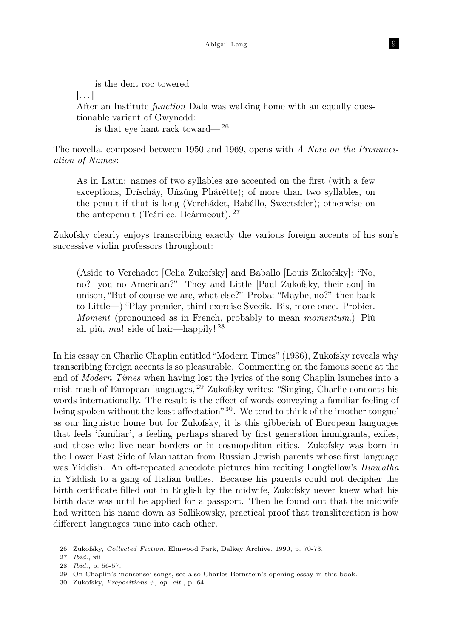is the dent roc towered  $\left[\ldots\right]$ After an Institute *function* Dala was walking home with an equally questionable variant of Gwynedd: is that eye hant rack toward— <sup>26</sup>

The novella, composed between 1950 and 1969, opens with A Note on the Pronunciation of Names:

As in Latin: names of two syllables are accented on the first (with a few exceptions, Dríscháy, Uńzúng Phárétte); of more than two syllables, on the penult if that is long (Verchádet, Babállo, Sweetsíder); otherwise on the antepenult (Teárilee, Beármeout). <sup>27</sup>

Zukofsky clearly enjoys transcribing exactly the various foreign accents of his son's successive violin professors throughout:

(Aside to Verchadet [Celia Zukofsky] and Baballo [Louis Zukofsky]: "No, no? you no American?" They and Little [Paul Zukofsky, their son] in unison, "But of course we are, what else?" Proba: "Maybe, no?" then back to Little—) "Play premier, third exercise Svecik. Bis, more once. Probier. Moment (pronounced as in French, probably to mean *momentum*.) Più ah più, ma! side of hair—happily!  $^{28}$ 

In his essay on Charlie Chaplin entitled "Modern Times" (1936), Zukofsky reveals why transcribing foreign accents is so pleasurable. Commenting on the famous scene at the end of Modern Times when having lost the lyrics of the song Chaplin launches into a mish-mash of European languages, <sup>29</sup> Zukofsky writes: "Singing, Charlie concocts his words internationally. The result is the effect of words conveying a familiar feeling of being spoken without the least affectation<sup>"30</sup>. We tend to think of the 'mother tongue' as our linguistic home but for Zukofsky, it is this gibberish of European languages that feels 'familiar', a feeling perhaps shared by first generation immigrants, exiles, and those who live near borders or in cosmopolitan cities. Zukofsky was born in the Lower East Side of Manhattan from Russian Jewish parents whose first language was Yiddish. An oft-repeated anecdote pictures him reciting Longfellow's *Hiawatha* in Yiddish to a gang of Italian bullies. Because his parents could not decipher the birth certificate filled out in English by the midwife, Zukofsky never knew what his birth date was until he applied for a passport. Then he found out that the midwife had written his name down as Sallikowsky, practical proof that transliteration is how different languages tune into each other.

<sup>26.</sup> Zukofsky, Collected Fiction, Elmwood Park, Dalkey Archive, 1990, p. 70-73.

<sup>27.</sup> Ibid., xii.

<sup>28.</sup> Ibid., p. 56-57.

<sup>29.</sup> On Chaplin's 'nonsense' songs, see also Charles Bernstein's opening essay in this book.

<sup>30.</sup> Zukofsky, Prepositions  $+$ , op. cit., p. 64.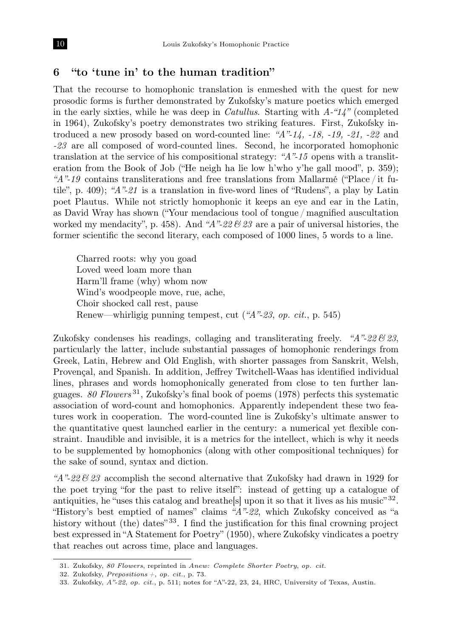#### 6 "to 'tune in' to the human tradition"

That the recourse to homophonic translation is enmeshed with the quest for new prosodic forms is further demonstrated by Zukofsky's mature poetics which emerged in the early sixties, while he was deep in *Catullus*. Starting with  $A$ -" $14$ " (completed in 1964), Zukofsky's poetry demonstrates two striking features. First, Zukofsky introduced a new prosody based on word-counted line: " $A$ "-14, -18, -19, -21, -22 and -23 are all composed of word-counted lines. Second, he incorporated homophonic translation at the service of his compositional strategy: " $A$ "-15 opens with a transliteration from the Book of Job ("He neigh ha lie low h'who y'he gall mood", p. 359); "A"-19 contains transliterations and free translations from Mallarmé ("Place / it futile", p. 409); " $A$ "-21 is a translation in five-word lines of "Rudens", a play by Latin poet Plautus. While not strictly homophonic it keeps an eye and ear in the Latin, as David Wray has shown ("Your mendacious tool of tongue / magnified auscultation worked my mendacity", p. 458). And "A"-22  $\mathcal{B}$  23 are a pair of universal histories, the former scientific the second literary, each composed of 1000 lines, 5 words to a line.

Charred roots: why you goad Loved weed loam more than Harm'll frame (why) whom now Wind's woodpeople move, rue, ache, Choir shocked call rest, pause Renew—whirligig punning tempest, cut ("A"-23, op. cit., p. 545)

Zukofsky condenses his readings, collaging and transliterating freely. " $A$ "-22  $\mathcal{C}$ 23, particularly the latter, include substantial passages of homophonic renderings from Greek, Latin, Hebrew and Old English, with shorter passages from Sanskrit, Welsh, Provençal, and Spanish. In addition, Jeffrey Twitchell-Waas has identified individual lines, phrases and words homophonically generated from close to ten further languages. 80 Flowers<sup>31</sup>, Zukofsky's final book of poems (1978) perfects this systematic association of word-count and homophonics. Apparently independent these two features work in cooperation. The word-counted line is Zukofsky's ultimate answer to the quantitative quest launched earlier in the century: a numerical yet flexible constraint. Inaudible and invisible, it is a metrics for the intellect, which is why it needs to be supplemented by homophonics (along with other compositional techniques) for the sake of sound, syntax and diction.

"A"-22  $\mathscr{C}$  23 accomplish the second alternative that Zukofsky had drawn in 1929 for the poet trying "for the past to relive itself": instead of getting up a catalogue of antiquities, he "uses this catalog and breathe<sup>[s]</sup> upon it so that it lives as his music<sup>"32</sup>. "History's best emptied of names" claims "A"-22, which Zukofsky conceived as "a history without (the) dates<sup> $33$ </sup>. I find the justification for this final crowning project best expressed in "A Statement for Poetry" (1950), where Zukofsky vindicates a poetry that reaches out across time, place and languages.

<sup>31.</sup> Zukofsky, 80 Flowers, reprinted in Anew: Complete Shorter Poetry, op. cit.

<sup>32.</sup> Zukofsky, Prepositions  $+$ , op. cit., p. 73.

<sup>33.</sup> Zukofsky, A"-22, op. cit., p. 511; notes for "A"-22, 23, 24, HRC, University of Texas, Austin.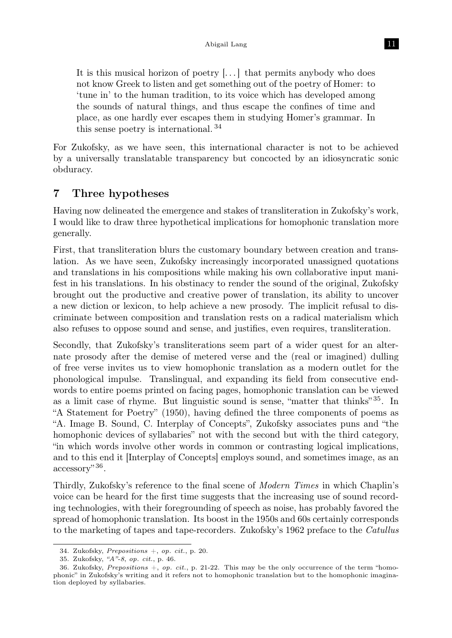It is this musical horizon of poetry [...] that permits anybody who does not know Greek to listen and get something out of the poetry of Homer: to 'tune in' to the human tradition, to its voice which has developed among the sounds of natural things, and thus escape the confines of time and place, as one hardly ever escapes them in studying Homer's grammar. In this sense poetry is international. <sup>34</sup>

For Zukofsky, as we have seen, this international character is not to be achieved by a universally translatable transparency but concocted by an idiosyncratic sonic obduracy.

## 7 Three hypotheses

Having now delineated the emergence and stakes of transliteration in Zukofsky's work, I would like to draw three hypothetical implications for homophonic translation more generally.

First, that transliteration blurs the customary boundary between creation and translation. As we have seen, Zukofsky increasingly incorporated unassigned quotations and translations in his compositions while making his own collaborative input manifest in his translations. In his obstinacy to render the sound of the original, Zukofsky brought out the productive and creative power of translation, its ability to uncover a new diction or lexicon, to help achieve a new prosody. The implicit refusal to discriminate between composition and translation rests on a radical materialism which also refuses to oppose sound and sense, and justifies, even requires, transliteration.

Secondly, that Zukofsky's transliterations seem part of a wider quest for an alternate prosody after the demise of metered verse and the (real or imagined) dulling of free verse invites us to view homophonic translation as a modern outlet for the phonological impulse. Translingual, and expanding its field from consecutive endwords to entire poems printed on facing pages, homophonic translation can be viewed as a limit case of rhyme. But linguistic sound is sense, "matter that thinks" <sup>35</sup>. In "A Statement for Poetry" (1950), having defined the three components of poems as "A. Image B. Sound, C. Interplay of Concepts", Zukofsky associates puns and "the homophonic devices of syllabaries" not with the second but with the third category, "in which words involve other words in common or contrasting logical implications, and to this end it [Interplay of Concepts] employs sound, and sometimes image, as an accessory"<sup>36</sup>.

Thirdly, Zukofsky's reference to the final scene of Modern Times in which Chaplin's voice can be heard for the first time suggests that the increasing use of sound recording technologies, with their foregrounding of speech as noise, has probably favored the spread of homophonic translation. Its boost in the 1950s and 60s certainly corresponds to the marketing of tapes and tape-recorders. Zukofsky's 1962 preface to the Catullus

<sup>34.</sup> Zukofsky, Prepositions +, op. cit., p. 20.

<sup>35.</sup> Zukofsky, "A"-8, op. cit., p. 46.

<sup>36.</sup> Zukofsky, Prepositions +, op. cit., p. 21-22. This may be the only occurrence of the term "homophonic" in Zukofsky's writing and it refers not to homophonic translation but to the homophonic imagination deployed by syllabaries.